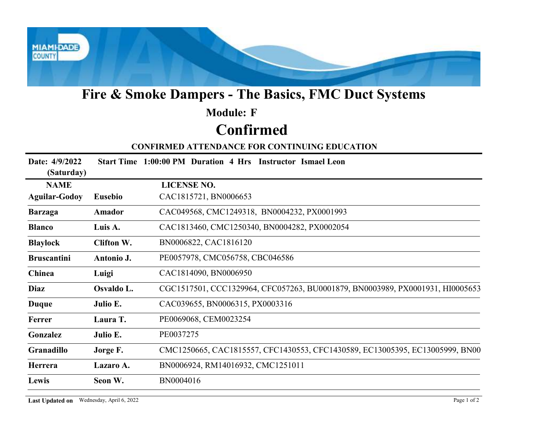

## Fire & Smoke Dampers - The Basics, FMC Duct Systems

# Module: F

## Confirmed

#### CONFIRMED ATTENDANCE FOR CONTINUING EDUCATION

|                              |                                          | Fire & Smoke Dampers - The Basics, FMC Duct Systems                           |
|------------------------------|------------------------------------------|-------------------------------------------------------------------------------|
|                              |                                          | <b>Module: F</b>                                                              |
|                              |                                          | <b>Confirmed</b>                                                              |
|                              |                                          | <b>CONFIRMED ATTENDANCE FOR CONTINUING EDUCATION</b>                          |
| Date: 4/9/2022<br>(Saturday) |                                          | Start Time 1:00:00 PM Duration 4 Hrs Instructor Ismael Leon                   |
| <b>NAME</b>                  |                                          | <b>LICENSE NO.</b>                                                            |
| <b>Aguilar-Godoy</b>         | <b>Eusebio</b>                           | CAC1815721, BN0006653                                                         |
| <b>Barzaga</b>               | Amador                                   | CAC049568, CMC1249318, BN0004232, PX0001993                                   |
| <b>Blanco</b>                | Luis A.                                  | CAC1813460, CMC1250340, BN0004282, PX0002054                                  |
| <b>Blaylock</b>              | Clifton W.                               | BN0006822, CAC1816120                                                         |
| <b>Bruscantini</b>           | Antonio J.                               | PE0057978, CMC056758, CBC046586                                               |
| Chinea                       | Luigi                                    | CAC1814090, BN0006950                                                         |
| Diaz                         | Osvaldo L.                               | CGC1517501, CCC1329964, CFC057263, BU0001879, BN0003989, PX0001931, HI0005653 |
| <b>Duque</b>                 | Julio E.                                 | CAC039655, BN0006315, PX0003316                                               |
| Ferrer                       | Laura T.                                 | PE0069068, CEM0023254                                                         |
| Gonzalez                     | Julio E.                                 | PE0037275                                                                     |
| Granadillo                   | Jorge F.                                 | CMC1250665, CAC1815557, CFC1430553, CFC1430589, EC13005395, EC13005999, BN00  |
| Herrera                      | Lazaro A.                                | BN0006924, RM14016932, CMC1251011                                             |
| Lewis                        | Seon W.                                  | BN0004016                                                                     |
|                              | Last Updated on Wednesday, April 6, 2022 | Page 1 of 2                                                                   |